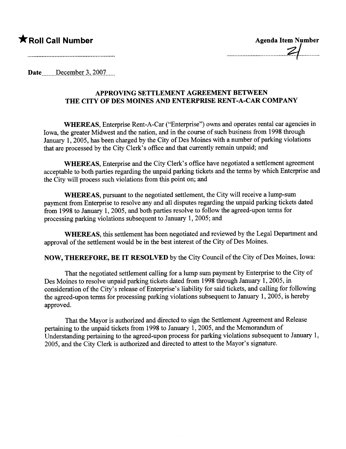## $\bigstar$  Roll Call Number

| <b>Agenda Item Number</b> |  |
|---------------------------|--|
|                           |  |
|                           |  |

Date December 3, 2007......

## APPROVING SETTLEMENT AGREEMENT BETWEEN THE CITY OF DES MOINES AND ENTERPRISE RENT-A-CAR COMPANY

WHEREAS, Enterprise Rent-A-Car ("Enterprise") owns and operates rental car agencies in Iowa, the greater Midwest and the nation, and in the course of such business from 1998 through January 1, 2005, has been charged by the City of Des Moines with a number of parking violations that are processed by the City Clerk's office and that curently remain unpaid; and

WHEREAS, Enterprise and the City Clerk's office have negotiated a settlement agreement acceptable to both paries regarding the unpaid parking tickets and the terms by which Enterprise and the City will process such violations from this point on; and

WHEREAS, pursuant to the negotiated settlement, the City will receive a lump-sum payment from Enterprise to resolve any and all disputes regarding the unpaid parking tickets dated from 1998 to January 1, 2005, and both parties resolve to follow the agreed-upon terms for processing parking violations subsequent to January 1,  $2005$ ; and

WHEREAS, this settlement has been negotiated and reviewed by the Legal Deparment and approval of the settlement would be in the best interest of the City of Des Moines.

NOW, THEREFORE, BE IT RESOLVED by the City Council of the City of Des Moines, Iowa:

That the negotiated settlement calling for a lump sum payment by Enterprise to the City of Des Moines to resolve unpaid parking tickets dated from 1998 through January 1, 2005, in consideration of the City's release of Enterprise's liabilty for said tickets, and calling for following the agreed-upon terms for processing parking violations subsequent to January  $1,2005$ , is hereby approved.

That the Mayor is authorized and directed to sign the Settlement Agreement and Release pertaining to the unpaid tickets from 1998 to January 1, 2005, and the Memorandum of Understanding pertaining to the agreed-upon process for parking violations subsequent to January 1, 2005, and the City Clerk is authorized and directed to attest to the Mayor's signatue.